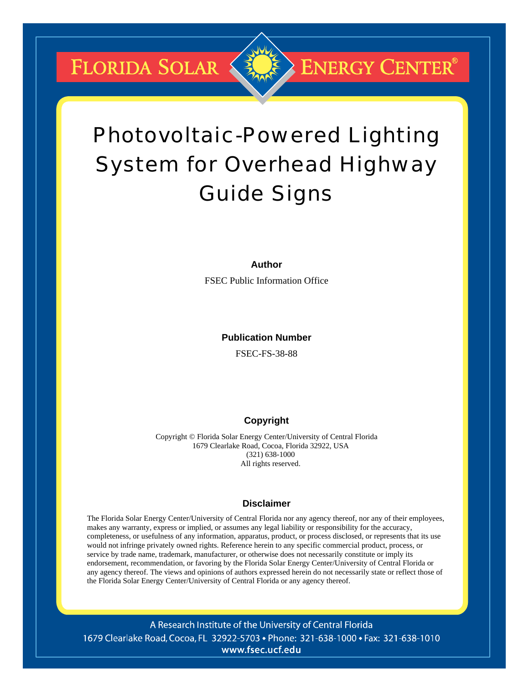**FLORIDA SOLAR &** 



# Photovoltaic-Powered Lighting System for Overhead Highway Guide Signs

#### **Author**

FSEC Public Information Office

**Publication Number** 

FSEC-FS-38-88

# **Copyright**

Copyright © Florida Solar Energy Center/University of Central Florida 1679 Clearlake Road, Cocoa, Florida 32922, USA (321) 638-1000 All rights reserved.

### **Disclaimer**

The Florida Solar Energy Center/University of Central Florida nor any agency thereof, nor any of their employees, makes any warranty, express or implied, or assumes any legal liability or responsibility for the accuracy, completeness, or usefulness of any information, apparatus, product, or process disclosed, or represents that its use would not infringe privately owned rights. Reference herein to any specific commercial product, process, or service by trade name, trademark, manufacturer, or otherwise does not necessarily constitute or imply its endorsement, recommendation, or favoring by the Florida Solar Energy Center/University of Central Florida or any agency thereof. The views and opinions of authors expressed herein do not necessarily state or reflect those of the Florida Solar Energy Center/University of Central Florida or any agency thereof.

A Research Institute of the University of Central Florida 1679 Clearlake Road, Cocoa, FL 32922-5703 • Phone: 321-638-1000 • Fax: 321-638-1010 www.fsec.ucf.edu